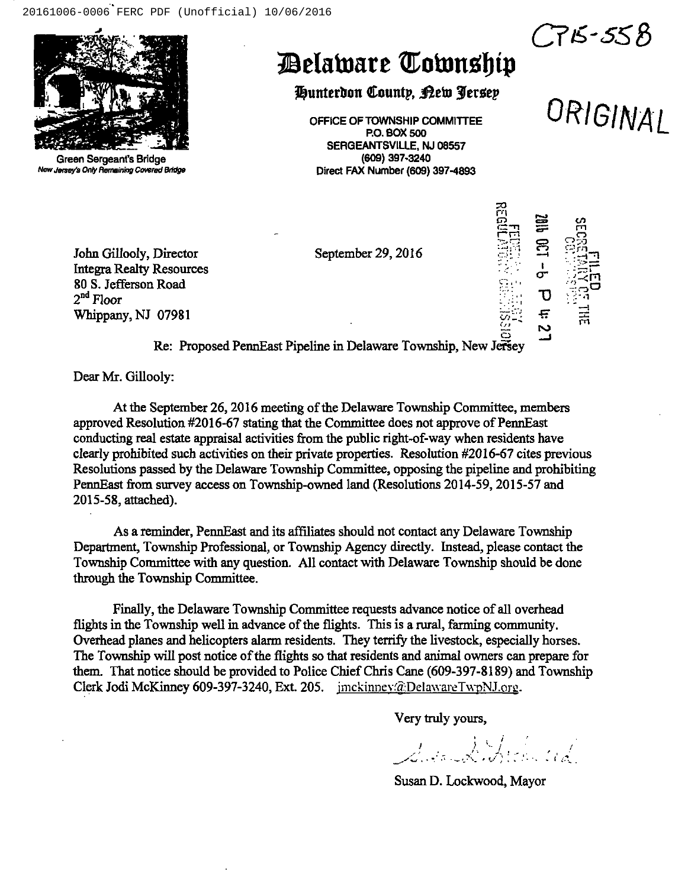

Green Sergeant'e Bridge New Jersey's Only Remaining Covered Bridge

### *Delaware Cownship*

Hunterdon County, Bew Jersey

OFFICE OF TOWNSHIP COMMITTEE URIGINAI P.O. BOX 500 SERGEANTSVILLE, NJ 08557 (609) 397.3240 Direct FAX Number (609) 397-4893

September 29, 2016



C75-558

I"rl ē

John Gillooly, Director Integra Realty Resources 80 S. Jefferson Road  $2<sup>nd</sup>$  Floor Whippany, NJ 07981 Road in the contract of the contract of  $\mathbb{R}^n$  . The contract of  $\mathbb{R}^n$  is  $\mathbb{C}$  $07981$   $\qquad \qquad \frac{1}{501}$   $\qquad \qquad \frac{1}{501}$ 

Re: Proposed PennEast Pipeline in Delaware Township, New Jersey

Dear Mr. Gillooly:

At the September 26, 2016 meeting of the Delaware Township Committee, members approved Resolution #2016-67 stating that the Committee does not approve of PennEast conducting real estate appraisal activities from the public right-of-way when residents have clearly prohibited such activities on their private properties. Resolution #2016-67 cites previous Resolutions passed by the Delaware Township Committee, opposing the pipeline and prohibiting PennEast from survey access on Township-owned land (Resolutions 2014-59, 2015-57 and 2015-58, attached).

As a reminder, PennEast and its affiliates should not contact any Delaware Township Department, Township Professional, or Township Agency directly. Instead, please contact the Township Committee with any question. All contact with Delaware Township should be done through the Township Committee.

Finally, the Delaware Township Committee requests advance notice of all overhead flights in the Township well in advance of the flights. This is a rural, farming community. Overhead planes and helicopters alarm residents. They terrify the livestock, especially horses. The Township will post notice of the flights so that residents and animal owners can prepare for them. That notice should be provided to Police Chief Chris Cane (609-397-8189) and Township Clerk Jodi McKinney 609-397-3240, Ext. 205. imckinney@DelawareTwpNJ.org.

Very truly yours,

r I

Susan D. Lockwood, Mayor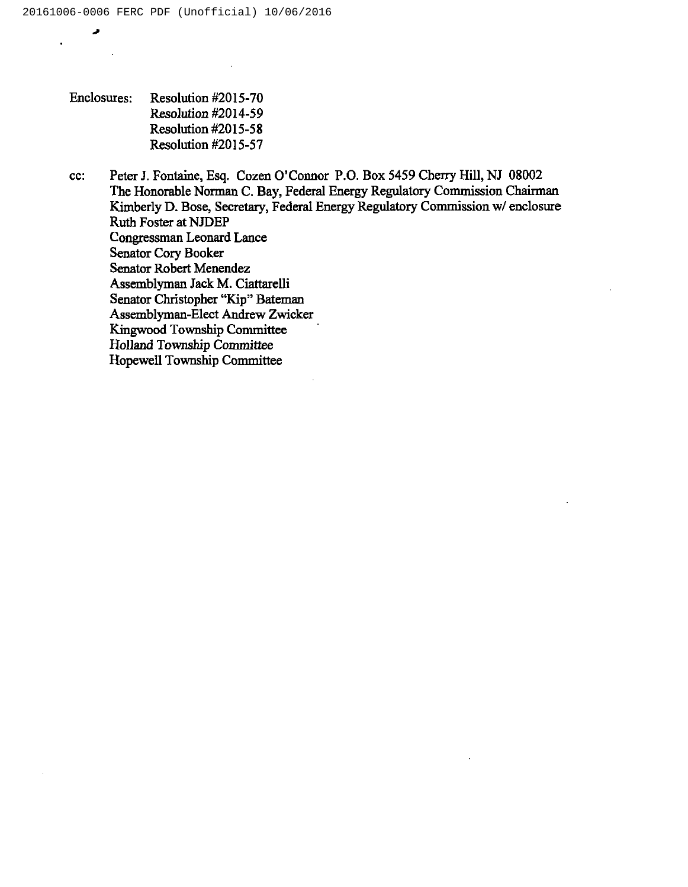Enclosures: Resolution #2015-70 Resolution #2014-59 Resolution #2015-58 Resolution #2015-57

cc: Peter J. Fontaine, Esq. Cozen O'Connor P.O. Box 5459 Cherry Hill, NJ 08002 The Honorable Norman C. Bay, Federal Energy Regulatory Commission Chairman Kimberly D. Bose, Secretary, Federal Energy Regulatory Commission w/ enclosure Ruth Foster at NJDEP Congressman Leonard Lance Senator Cory Booker Senator Robert Menendez Assemblyman Jack M. Ciattarelli Senator Christopher "Kip" Bateman Assemblyman-Elect Andrew Zwicker Kingwood Township Committee Holland Township Committee Hopewell Township Committee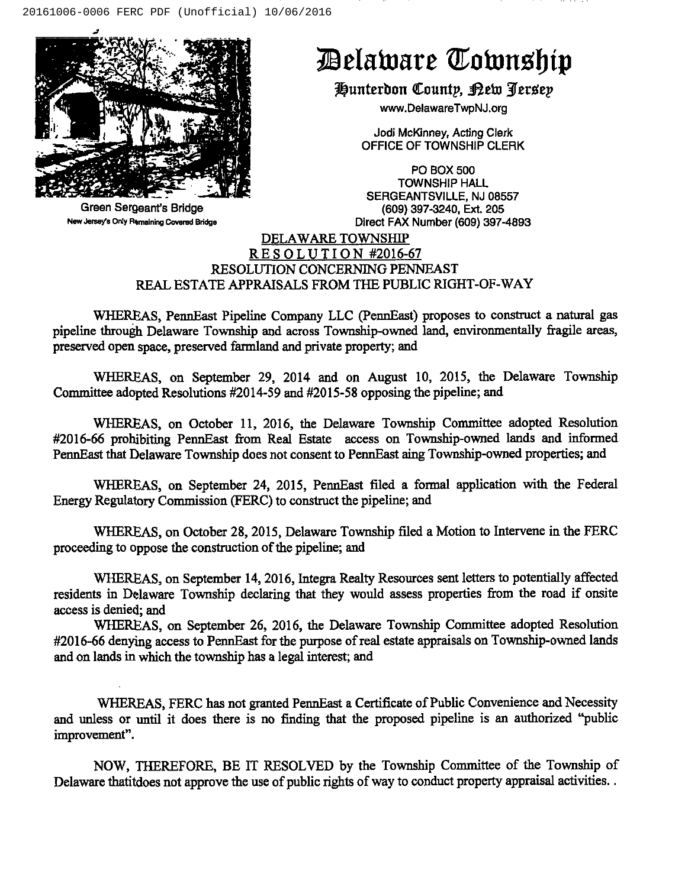

Green Sergeant's Bridge New Jereay'e Only Remaining Covered Sridge

# Belaware Cownship

Hunterdon County, Kew Jersey

www.DelawareTwpNJ.org

Jodi McKinney, Acting Clerk OFFICE OF TOWNSHIP CLERK

PO BOX 500 TOWNSHIP HALL SERGEANTSVILLE, NJ 08557 (609) 397-3240, Ext. 205 Direct FAX Number (609) 397-4893

### DELAWARE TOWNSHIP RESOLUTION #2016-67 RESOLUTION CONCERMNG PENNEAST REAL ESTATE APPRAISALS FROM THE PUBLIC RIGHT-OF-WAY

WHEREAS, PennEast Pipeline Company LLC (PennEast) proposes to construct a natural gas pipeline through Delaware Township and across Township-owned land, environmentally fragile areas, preserved open space, preserved farmland and private properly; and

WHEREAS, on September 29, 2014 and on August 10, 2015, the Delaware Township Committee adopted Resolutions #2014-59 and #2015-58 opposing the pipeline; and

WHEREAS, on October 11, 2016, the Delaware Township Committee adopted Resolution #2016-66 prohibiting PennEast from Real Estate access on Township-owned lands and informed PennEast that Delaware Township does not consent to PennEast sing Township-owned properties; and

WHEREAS, on September 24, 2015, PennEast filed a formal application with the Federal Energy Regulatory Commission (FERC) to construct the pipeline; and

WHEREAS, on October 28, 2015, Delaware Township filed a Motion to Intervene in the FERC proceeding to oppose the construction of the pipeline; and

WHEREAS, on September 14, 2016, Integra Realty Resources sent letters to potentially affected residents in Delaware Township declaring that they would assess properties from the road if onsite access is denied; and

WHEREAS, on September 26, 2016, the Delaware Township Committee adopted Resolution #2016-66 denying access to PennEast for the purpose of real estate appraisals on Township-owned lands and on lands in which the township has a legal interest; and

WHEREAS, FERC has not granted PennEast a Certificate of Public Convenience and Necessity and unless or until it does there is no finding that the proposed pipeline is an authorized "public improvement".

NOW, THEREFORE, BE IT RESOLVED by the Township Committee of the Township of Delaware thatitdoes not approve the use of public rights of way to conduct property appraisal activities..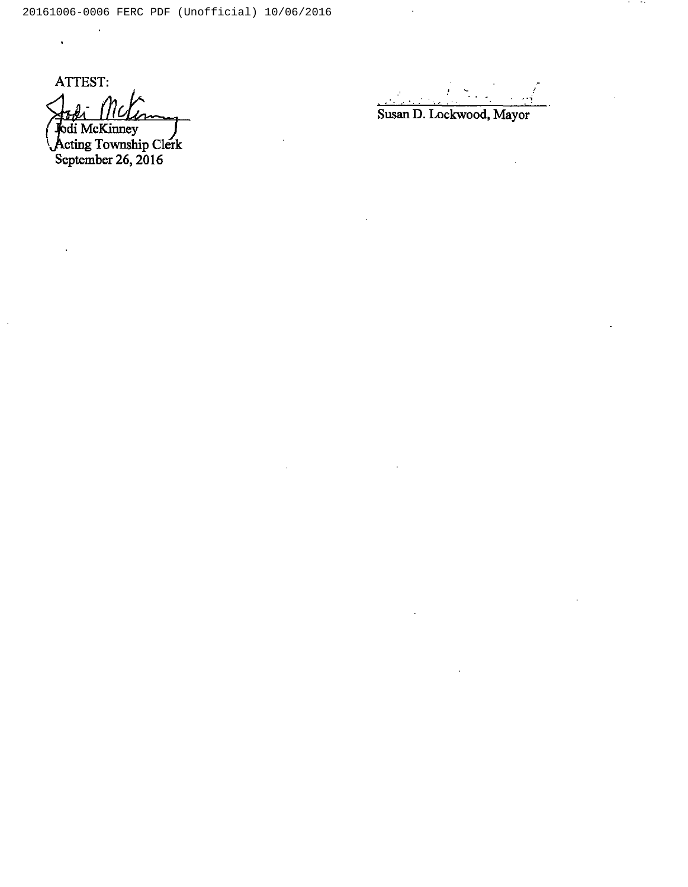ATTEST: odi McKinney di McKinney<br>cting Township Clerk

 $\ddot{\phantom{0}}$ 

September 26, 2016

**Contract Contract** 

Susan D. Lockwood, Mayor

 $\ddot{\phantom{a}}$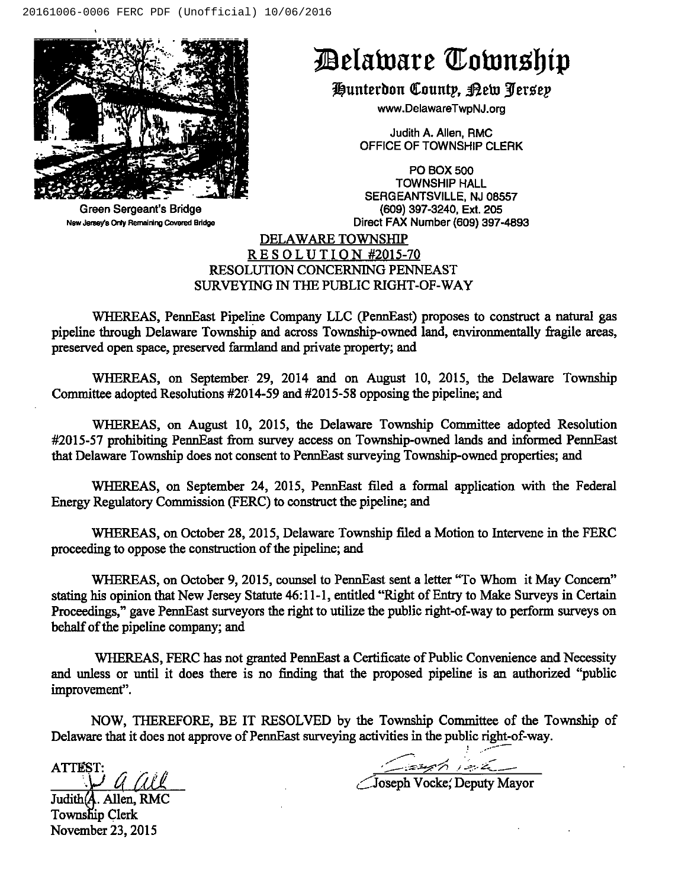

#### Green Sergeant's Bridge New Jersey's Only Remaining Covered Bridge

## Belaware Township

Hunterdon County, <u>P</u>ew Jersey

www.DelawareTwpNJ.org

Judith A. Allen, RMC OFFICE OF TOWNSHIP CLERK

PO BOX 500 TOWNSHIP HALL SERGEANTSVILLE, NJ 08557 (609) 397-3240, Ext. 205 Direct FAX Number (609) 397-4893

### DELAWARE TOWNSHIP  $RES OLUTION #2015-70$ RESOLUTION CONCERMNG PENNEAST SURVEYING IN THE PUBLIC RIGHT-OF-WAY

WHEREAS, PennEast Pipeline Company LLC (PennEast) proposes to construct a natural gas pipeline through Delaware Township and across Township-owned land, environmentally fragile areas, preserved open space, preserved farmland and private property; and

WHEREAS, on September 29, 2014 and on August 10, 2015, the Delaware Township Committee adopted Resolutions #2014-59 and #2015-58 opposing the pipeline; and

WHEREAS, on August 10, 2015, the Delaware Township Committee adopted Resolution #2015-57 prohibiting PennEast from survey access on Township-owned lands and informed PennEast that Delaware Township does not consent to PennEast surveying Township-owned properties; and

WHEREAS, on September 24, 2015, PennEast filed a formal application with the Federal Energy Regulatory Commission (FERC) to construct the pipeline; and

WHEREAS, on October 2g, 2015, Delaware Township filed a Motion to Intervene in the FERC proceeding to oppose the construction of the pipeline; and

WHEREAS, on October 9, 2015, counsel to PennEast sent a letter "To Whom it May Concern" stating his opinion that New Jersey Statute 46:11-1, entitled "Right of Entry to Make Surveys in Certain Proceedings," gave PennEast surveyors the right to utilize the public right-of-way to perform surveys on behalf of the pipeline company; and

WHEREAS, FERC has not granted PennEast a Certificate of Public Convenience and Necessity and unless or until it does there is no finding that the proposed pipeline is an authorized "public improvement".

NOW, THEREFORE, BE IT RESOLVED by the Township Committee of the Township of Delaware that it does not approve of PennEast surveying activities in the public right-of-way.

ATTEST:  $\sum^{51}$  a ai

Judith(**A**. Allen, RMC Township Clerk November 23, 2015

/

 $\angle$ Joseph Vocke,' Deputy Mayor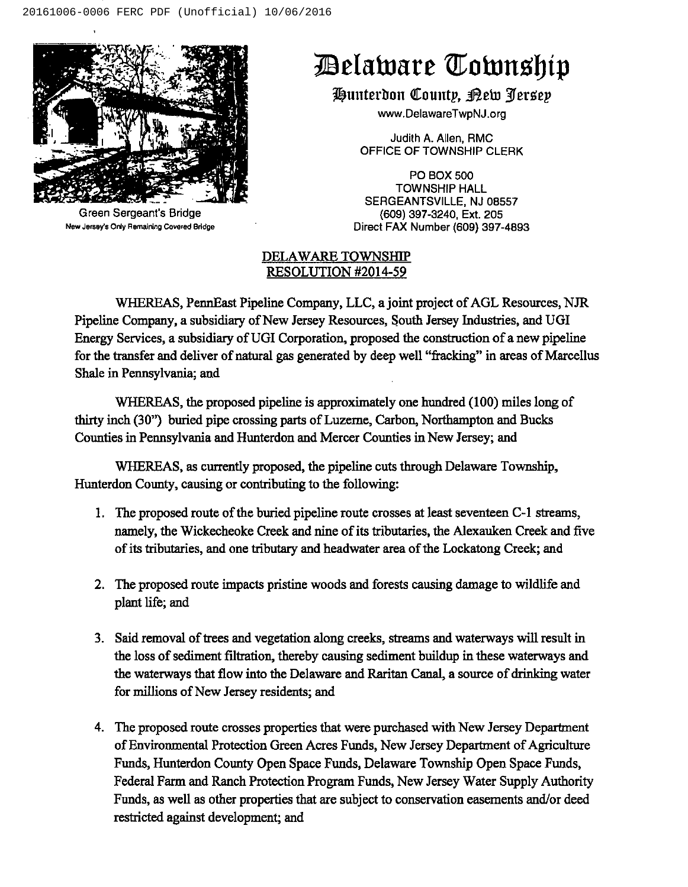

Green Sergeant's Bridge New Jersey's Only Remaining Covered Bridge

# Delaware Township

Hunterdon County, <u>Rew Jerse</u>y

www.DelawareTwpNJ.org

Judith A. Allen, RMC OFFICE OF TOWNSHIP CLERK

PO BOX 500 TOWNSHIP HALL SERGEANTSVILLE, NJ 08557 (609) 397-3240, Ext. 205 Direct FAX Number (609) 397-4893

#### DELAWARE TOWNSHIP RESOLUTION #2014-59

WHEREAS, PennEast Pipeline Company, LLC, a joint project of AGL Resources, NJR Pipeline Company, a subsidiary of New Jersey Resources, South Jersey Industries, and UGI Energy Services, a subsidiary of UGI Corporation, proposed the construction of a new pipeline for the transfer and deliver of natural gas generated by deep well "fracking" in areas of Marcellus Shale in Pennsylvania; and

WHEREAS, the proposed pipeline is approximately one hundred (100) miles long of thirty inch (30") buried pipe crossing parts of Luzerne, Carbon, Northampton and Bucks Counties in Pennsylvania and Hunterdon and Mercer Counties in New Jersey; and

WHEREAS, as currently proposed, the pipeline cuts through Delaware Township, Hunterdon County, causing or contributing to the following:

- 1. The proposed route of the buried pipeline route crosses at least seventeen C-1 streams, namely, the Wickecheoke Creek and nine of its tributaries, the Alexauken Creek and five of its tributaries, and one tributary and headwater area of the Lockatong Creek; and
- 2. The proposed route impacts pristine woods and forests causing damage to wildlife and plant life; and
- 3. Said removal of trees and vegetation along creeks, streams and waterways will result in the loss of sediment filtration, thereby causing sediment buildup in these waterways and the waterways that flow into the Delaware and Raritan Canal, a source of drinking water for millions of New Jersey residents; and
- 4. The proposed route crosses properties that were purchased with New Jersey Department of Environmental Protection Green Acres Funds, New Jersey Department of Agriculture Funds, Hunterdon County Open Space Funds, Delaware Township Open Space Funds, Federal Farm and Ranch Protection Program Funds, New Jersey Water Supply Authority Funds, as well as other properties that are subject to conservation easements and/or deed restricted against development; and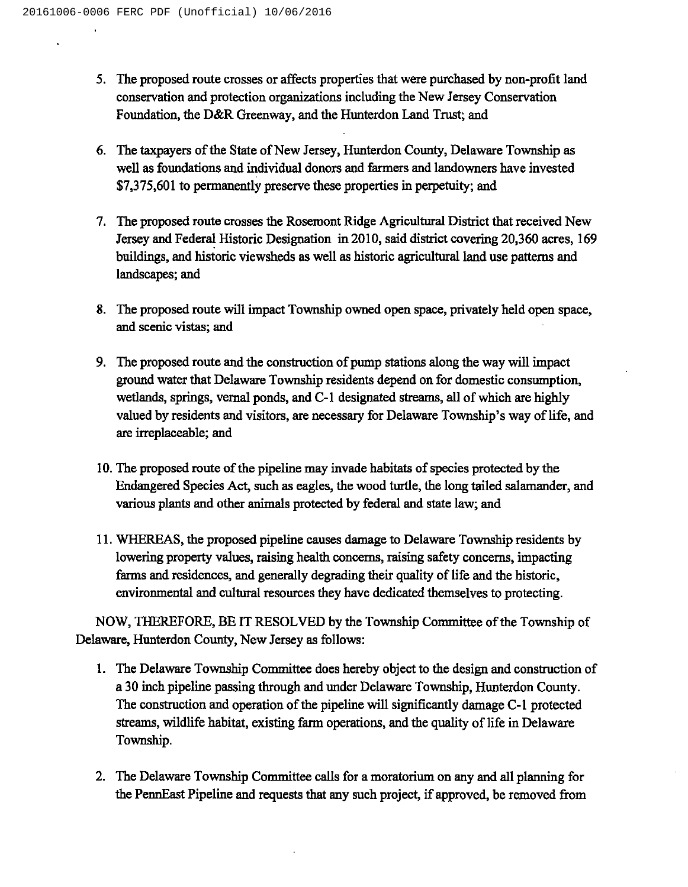- 5. The proposed route crosses or affects properties that were purchased by non-profit land conservation and protection organizations including the New Jersey Conservation Foundation, the D&R Greenway, and the Hunterdon Land Trust; and
- 6. The taxpayers of the State of New Jersey, Hunterdon County, Delaware Township as well as foundations and individual donors and farmers and landowners have invested \$7,375,601 to permanently preserve these properties in perpetuity; and
- The proposed route crosses the Rosemont Ridge Agricultural District that received New Jersey and Federal Historic Designation in 2010, said district covering 20,360 acres, 169 buildings, and historic viewsheds as well as historic agricultural land use patterns and landscapes; and
- The proposed route will impact Township owned open space, privately held open space, and scenic vistas; and
- The proposed route and the construction of pump stations along the way will impact ground water that Delaware Township residents depend on for domestic consumption, wetlands, springs, vernal ponds, and C-1 designated streams, all of which are highly valued by residents and visitors, are necessary for Delaware Township's way of life, and are irreplaceable; and
- 10. The proposed route of the pipeline may invade habitats of species protected by the Endangered Species Act, such as eagles, the wood turtle, the long tailed salamander, and various plants and other animals protected by federal and state law; and
- 11.WHEREAS, the proposed pipeline causes damage to Delaware Township residents by lowering property values, raising health concerns, raising safety concerns, impacting farms and residences, and generally degrading their quality of life and the historic, environmental and cultural resources they have dedicated themselves to protecting.

NOW, THEREFORE, BEIT RESOLVED by the Township Committee of the Township of Delaware, Hunterdon County, New Jersey as follows:

- 1. The Delaware Township Committee does hereby object to the design and construction of a 30 inch pipeline passing through and under Delaware Township, Hunterdon County. The construction and operation of the pipeline will significantly damage C-1 protected streams, wildlife habitat, existing farm operations, and the quality of life in Delaware Township.
- 2. The Delaware Township Committee calls for a moratorium on any and all planning for the PennEast Pipeline and requests that any such project, if approved, be removed from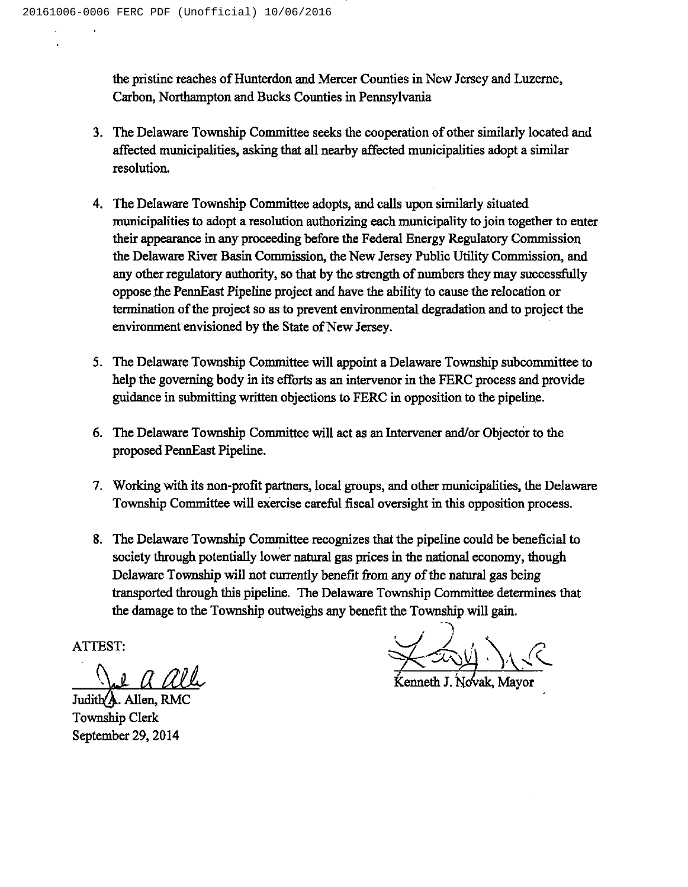the pristine reaches of Hunterdon and Mercer Counties in New Jersey and Luzerne, Carbon, Northampton and Bucks Counties in Pennsylvania

- 3. The Delaware Township Committee seeks the cooperation of other similarly located and affected municipalities, asking that all nearby affected municipalities adopt a similar resolution.
- 4. The Delaware Township Committee adopts, and calls upon similarly situated municipalities to adopt a resolution authorizing each municipality to join together to enter their appearance in any proceeding before the Federal Energy Regulatory Commission the Delaware River Basin Commission, the New Jersey Public Utility Commission, and any other regulatory authority, so that by the strength of numbers they may successfully oppose the PennEast Pipeline project and have the ability to cause the relocation or termination of the project so as to prevent environmental degradation and to project the environment envisioned by the State of New Jersey.
- 5. The Delaware Township Committee will appoint a Delaware Township subcommittee to help the governing body in its efforts as an intervenor in the FERC process and provide guidance in submitting written objections to FERC in opposition to the pipeline.
- 6. The Delaware Township Committee will act as an Intervener and/or Objector to the proposed PennEast Pipeline.
- 7. Working with its non-profit partners, local groups, and other municipalities, the Delaware Township Committee will exercise careful fiscal oversight in this opposition process.
- 8. The Delaware Township Committee recognizes that the pipeline could be beneficial to society through potentially lower natural gas prices in the national economy, though Delaware Township will not currently benefit from any of the natural gas being transported through this pipeline. The Delaware Township Committee determines that the damage to the Township outweighs any benefit the Township will gain.

ATTEST

Judith $\overline{A}$ . Allen, RMC Township Clerk September 29, 2014

J. Novak, Mayor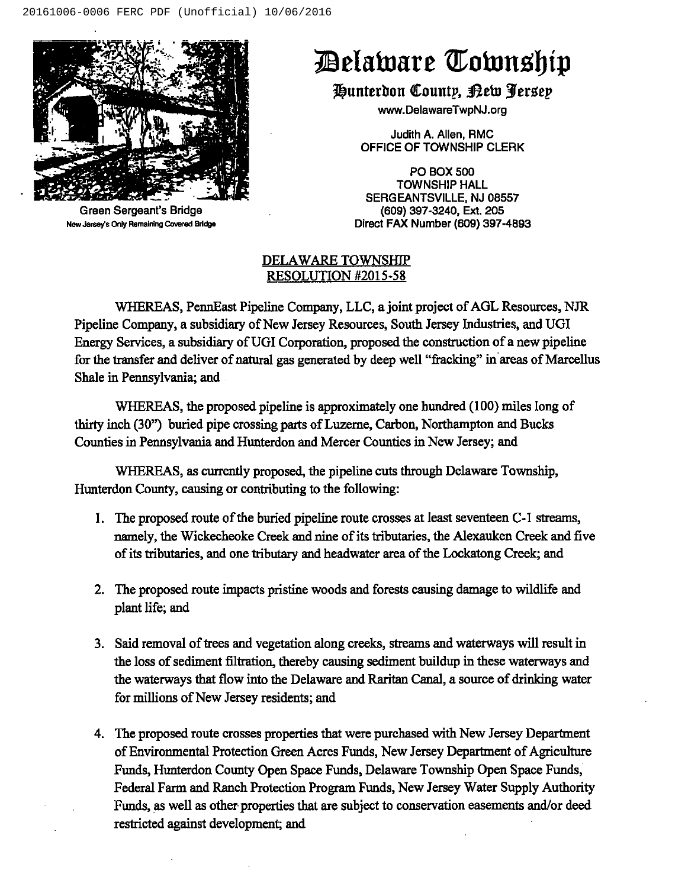

Green Sergeant's Bridge New Jersey's Only Remaining Covered Bridge

# Relainars Kolnttsl)ip

Hunterdon County, Rew Jersey

www.DelawareTwpNJ.org

Judith A. Allen, RMC OFFICE OF TOWNSHIP CLERK

PO BOX 500 TOWNSHIP HALL SERGEANTSVILLE, NJ 08557 (609) 397-3240, Ext. 205 Direct FAX Number (609) 397-4893

#### DELAWARE TOWNSHIP RESOLUTION #2015-58

WHEREAS, PennEast Pipeline Company, LLC, a joint project of AGL Resources, NJR Pipeline Company, a subsidiary of New Jersey Resources, South Jersey Industries, and UGI Energy Services, a subsidiary ofUGI Corporation, proposed the construction of a new pipeline for the transfer and deliver of natural gas generated by deep well "fracking" in areas of Marcellus Shale in Pennsylvania; and

WHEREAS, the proposed pipeline is approximately one hundred (100) miles long of thirty inch (30") buried pipe crossing parts of Luzerne, Carbon, Northampton and Bucks Counties in Pennsylvania and Hunterdon and Mercer Counties in New Jersey; and

WHEREAS, as currently proposed, the pipeline cuts through Delaware Township, Hunterdon County, causing or contributing to the following:

- 1. The proposed route of the buried pipeline route crosses at least seventeen C-1 streams, namely, the Wickecheoke Creek and nine of its tributaries, the Alexauken Creek and five of its tributaries, and one tributary and headwater area of the Lockatong Creek; and
- 2. The proposed route impacts pristine woods and forests causing damage to wildlife and plant life; and
- 3. Said removal of trees and vegetation along creeks, streams and waterways will result in the loss of sediment filtration, thereby causing sediment buildup in these waterways and the waterways that flow into the Delaware and Raritan Canal, a source of drinking water for millions of New Jersey residents; and
- 4. The proposed route crosses properties that were purchased with New Jersey Department of Environmental Protection Green Acres Funds, New Jersey Department of Agriculture Funds, Hunterdon County Open Space Funds, Delaware Township Open Space Funds, Federal Farm and Ranch Protection Program Funds, New Jersey Water Supply Authority Funds, as well as other properties that are subject to conservation easements and/or deed restricted against development; and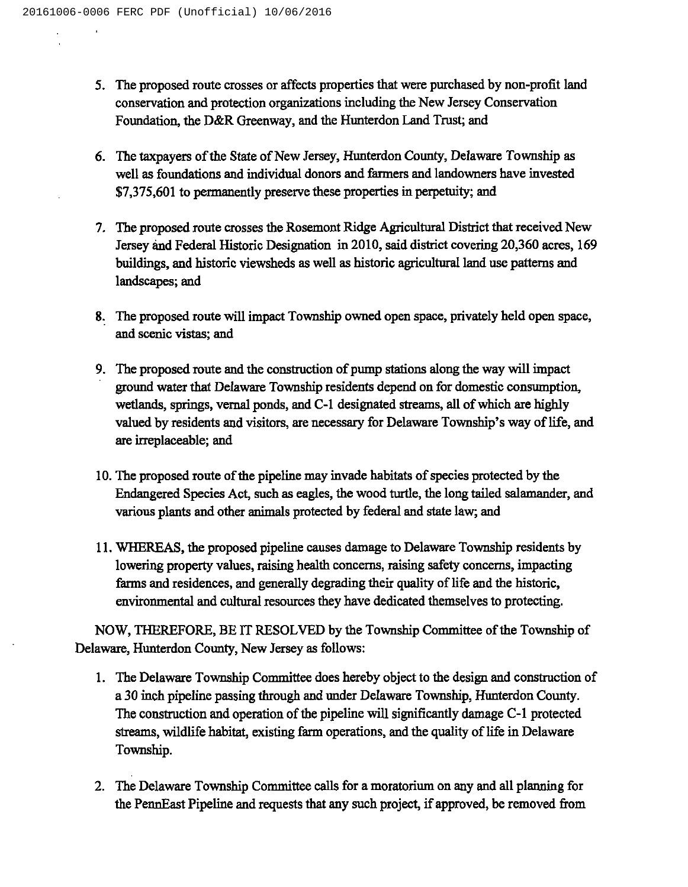- 5. The proposed route crosses or affects properties that were purchased by non-profit land conservation and protection organizations including the New Jersey Conservation Foundation, the D&R Greenway, and the Hunterdon Land Trust; and
- 6. The taxpayers of the State of New Jersey, Hunterdon County, Delaware Township as well as foundations and individual donors and farmers and landowners have invested \$7,375,601 to permanently preserve these properties in perpetuity; and
- The proposed route crosses the Rosemont Ridge Agricultural District that received New Jersey and Federal Historic Designation in 2010, said district covering 20,360 acres, 169 buildings, and historic viewsheds as well as historic agricultural land use patterns and landscapes; and
- The proposed route will impact Township owned open space, privately held open space, and scenic vistas; and
- The proposed route and the construction of pump stations along the way will impact ground water that Delaware Township residents depend on for domestic consumption, wetlands, springs, vernal ponds, and C-1 designated streams, all of which are highly valued by residents and visitors, are necessary for Delaware Township's way of life, and are irreplaceable; and
- 10. The proposed route of the pipeline may invade habitats of species protected by the Endangered Species Act, such as eagles, the wood turtle, the long tailed salamander, and various plants and other animals protected by federal and state law; and
- 11.WHEREAS, the proposed pipeline causes damage to Delaware Township residents by lowering property values, raising health concerns, raising safety concerns, impacting farms and residences, and generally degrading their quality of life and the historic, environmental and cultural resources they have dedicated themselves to protecting.

NOW, THEREFORE, BE IT RESOLVED by the Township Committee of the Township of Delaware, Hunterdon County, New Jersey as follows:

- 1. The Delaware Township Committee does hereby object to the design and construction of a 30 inch pipeline passing through and under Delaware Township, Hunterdon County. The construction and operation of the pipeline will significantly damage C-1 protected streams, wildlife habitat, existing farm operations, and the quality of life in Delaware Township.
- 2. The Delaware Township Committee calls for a moratorium on any and all planning for the PennEast Pipeline and requests that any such project, if approved, be removed from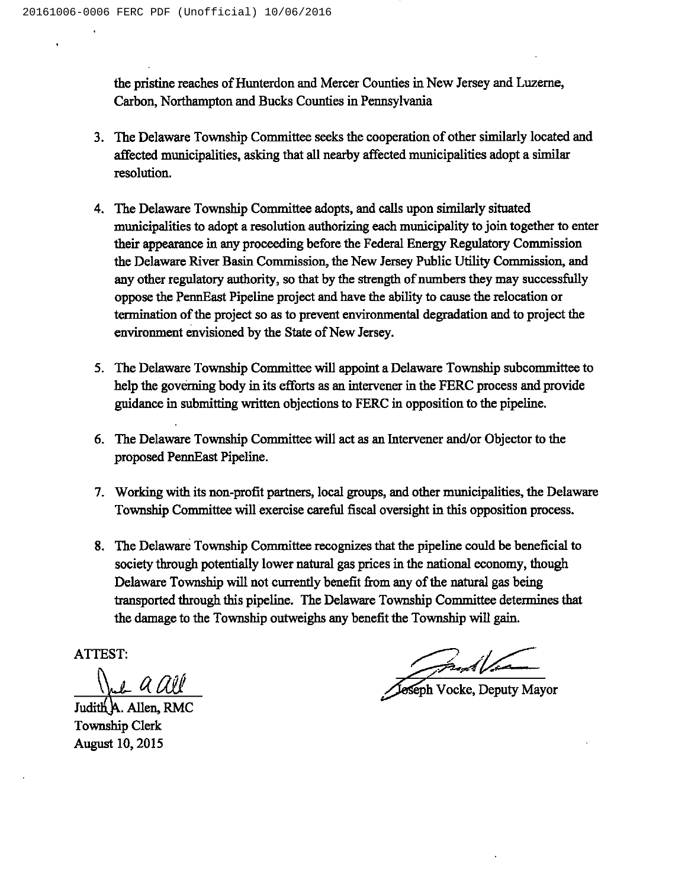the pristine reaches of Hunterdon and Mercer Counties in New Jersey and Luzerne, Carbon, Northampton and Bucks Counties in Pennsylvania

- 3. The Delaware Township Committee seeks the cooperation of other similarly located and affected municipalities, asking that all nearby affected municipalities adopt a similar resolution.
- 4. The Delaware Township Committee adopts, and calls upon similarly situated municipalities to adopt a resolution authorizing each municipality to join together to enter their appearance in any proceeding before the Federal Energy Regulatory Commission the Delaware River Basin Commission, the New Jersey Public Utility Commission, and any other regulatory authority, so that by the strength of numbers they may successfully oppose the PennEast Pipeline project and have the ability to cause the relocation or termination of the project so as to prevent environmental degradation and to project the environment envisioned by the State of New Jersey.
- 5. The Delaware Township Committee will appoint a Delaware Township subcommittee to help the governing body in its efforts as an intervener in the FERC process and provide guidance in submitting written objections to FERC in opposition to the pipeline.
- 6. The Delaware Township Committee will act as an Intervener and/or Objector to the proposed PennEast Pipeline.
- 7. Working with its non-profit partners, local groups, and other municipalities, the Delaware Township Committee will exercise careful fiscal oversight in this opposition process.
- 8. The Delaware Township Committee recognizes that the pipeline could be beneficial to society through potentially lower natural gas prices in the national economy, though Delaware Township will not currently benefit from any of the natural gas being transported through this pipeline. The Delaware Township Committee determines that the damage to the Township outweighs any benefit the Township will gain.

ATTEST

 $\int_{\mathbb{R}} f(x) dx$ 

Judith A. Allen, RMC Township Clerk August 10, 2015

and Vocke, Deputy Mayor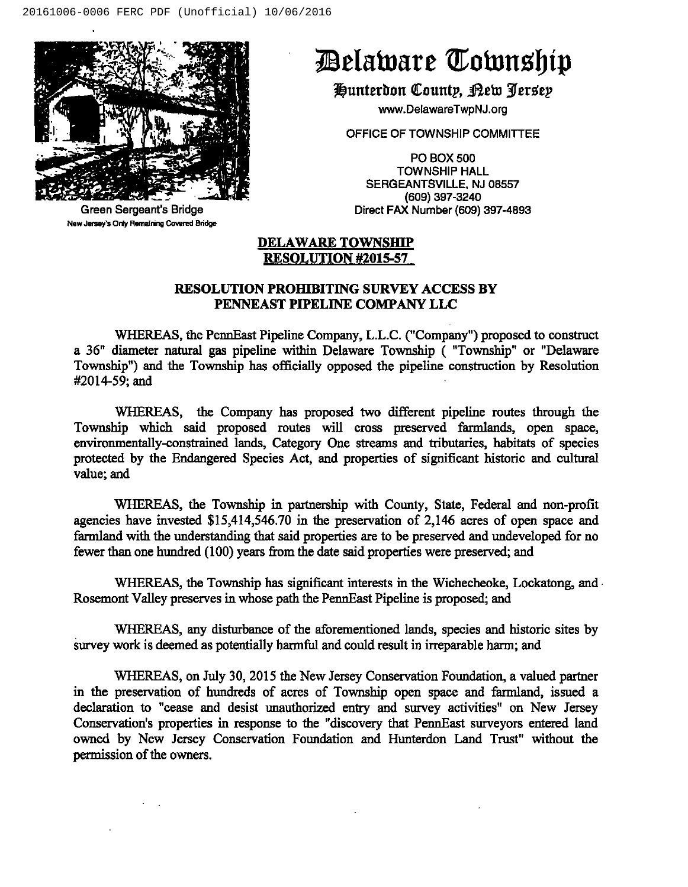

Green Sergeant's Bridge New Jersey's Only Remaining Covered Bridge

## Delaware Township

Hunterdon County, Kew Jersey

www.DelawareTwpNJ.org

OFFICE OF TOWNSHIP COMMITTEE

PO BOX 500 TOWNSHIP HALL SERGEANTSVILLE, NJ 08557 (609) 397-3240 Direct FAX Number (609) 397-4893

#### DELAWARE TOWNSHIP **RESOLUTION #2015-57**

#### RESOLUTION PROHIBITING SURVEY ACCESS BY PENNEAST PIPELINE COMPANY LLC

WHEREAS, the PennEast Pipeline Company, L.L.C. ("Company") proposed to construct <sup>a</sup> 36" diameter natural gas pipeline within Delaware Township ( "Township" or "Delaware Township") and the Township has officially opposed the pipeline construction by Resolution #2014-59; and

WHEREAS, the Company has proposed two different pipeline routes through the Township which said proposed routes will cross preserved farmlands, open space, environmentally-constrained lands, Category One streams and tributaries, habitats of species protected by the Endangered Species Act, and properties of significant historic and cultural value; and

WHEREAS, the Township in partnership with County, State, Federal and non-profit agencies have invested \$15,414,546.70 in the preservation of 2,146 acres of open space and farmland with the understanding that said properties are to be preserved and undeveloped for no fewer than one hundred (100) years from the date said properties were preserved; and

WHEREAS, the Township has significant interests in the Wichecheoke, Lockatong, and Rosemont Valley preserves in whose path the PennEast Pipeline is proposed; and

WHEREAS, any disturbance of the aforementioned lands, species and historic sites by survey work is deemed as potentially harmful and could result in irreparable harm; and

WHEREAS, on July 30, 2015 the New Jersey Conservation Foundation, a valued partner in the preservation of hundreds of acres of Township open space and farmland, issued a declaration to "cease and desist unauthorized entry and survey activities" on New Jersey Conservation's properties in response to the "discovery that PennEast surveyors entered land owned by New Jersey Conservation Foundation and Hunterdon Land Trust" without the permission of the owners.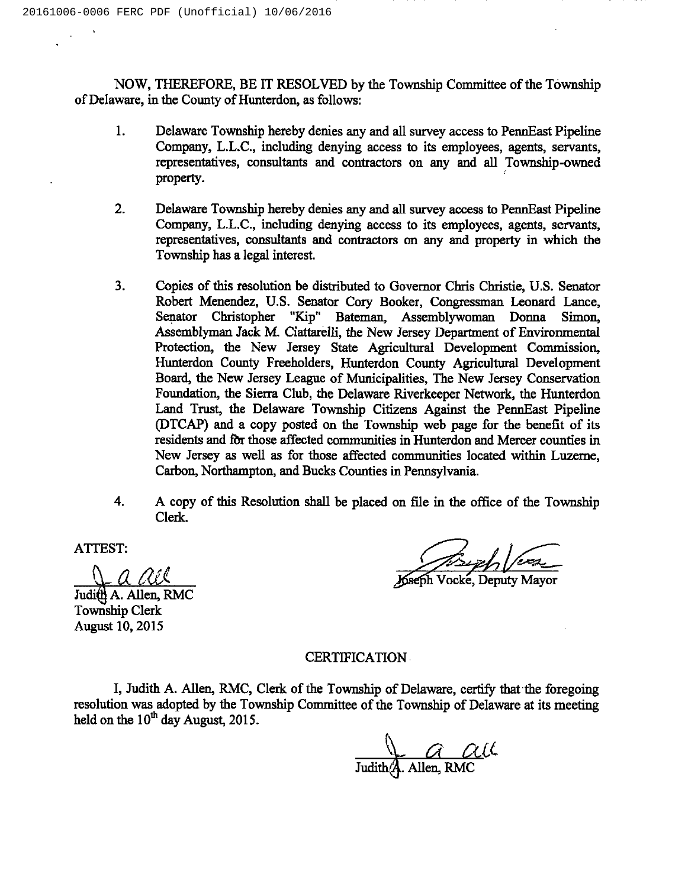NOW, THEREFORE, BE IT RESOLVED by the Township Committee of the Township of Delaware, in the County of Hunterdon, as follows:

- 1. Delaware Township hereby denies any and all survey access to PennEast Pipeline Company, L.L.C., including denying access to its employees, agents, servants, representatives, consultants and contractors on any and all Township-owned property.
- $2.$ Delaware Township hereby denies any and all survey access to PennEast Pipeline Company, L.L.C., including denying access to its employees, agents, servants, representatives, consultants and contractors on any and property in which the Township has a legal interest.
- 3. Copies of this resolution be distributed to Governor Chris Christie, U.S. Senator Robert Menendez, U.S. Senator Cory Booker, Congressman Leonard Lance, Senator Christopher "Kip" Bateman, Assemblywoman Donna Simon, Bateman, Assemblywoman Donna Simon, Assemblyman Jack M. Ciattarelli, the New Jersey Department of Environmental Protection, the New Jersey State Agricultural Development Commission, Hunterdon County Freeholders, Hunterdon County Agricultural Development Board, the New Jersey League of Municipalities, The New Jersey Conservation Foundation, the Sierra Club, the Delaware Riverkeeper Network, the Hunterdon Land Trust, the Delaware Township Citizens Against the PennEast Pipeline (DTCAP) and a copy posted on the Township web page for the benefit of its residents and fbr those affected communities in Hunterdon and Mercer counties in New Jersey as well as for those affected communities located within Luzeme, Carbon, Northampton, and Bucks Counties in Pennsylvania.
- 4. A copy of this Resolution shall be placed on file in the office of the Township Clerk.

ATTEST:

Eau& Judith A. Allen, RMC

Township Clerk August 10, 2015

Mess of Versich Versich

Vocke, Deputy Mayo

#### CERTIFICATION

I, Judith A. Allen, RMC, Clerk of the Township of Delaware, certify that the foregoing resolution was adopted by the Township Committee of the Township of Delaware at its meeting held on the  $10<sup>th</sup>$  day August, 2015.

 $\bigcup_{\text{Judith}(A) \text{ Allen, RMC}} \alpha \alpha \iota \iota$